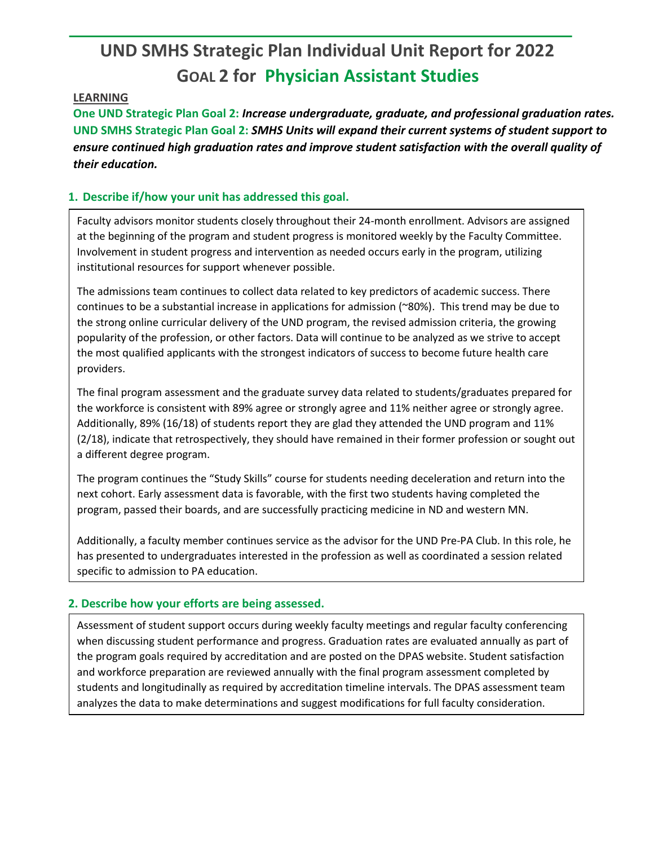# **UND SMHS Strategic Plan Individual Unit Report for 2022 GOAL 2 for Physician Assistant Studies**

### **LEARNING**

**One UND Strategic Plan Goal 2:** *Increase undergraduate, graduate, and professional graduation rates.* **UND SMHS Strategic Plan Goal 2:** *SMHS Units will expand their current systems of student support to ensure continued high graduation rates and improve student satisfaction with the overall quality of their education.*

## **1. Describe if/how your unit has addressed this goal.**

Faculty advisors monitor students closely throughout their 24-month enrollment. Advisors are assigned at the beginning of the program and student progress is monitored weekly by the Faculty Committee. Involvement in student progress and intervention as needed occurs early in the program, utilizing institutional resources for support whenever possible.

The admissions team continues to collect data related to key predictors of academic success. There continues to be a substantial increase in applications for admission (~80%). This trend may be due to the strong online curricular delivery of the UND program, the revised admission criteria, the growing popularity of the profession, or other factors. Data will continue to be analyzed as we strive to accept the most qualified applicants with the strongest indicators of success to become future health care providers.

The final program assessment and the graduate survey data related to students/graduates prepared for the workforce is consistent with 89% agree or strongly agree and 11% neither agree or strongly agree. Additionally, 89% (16/18) of students report they are glad they attended the UND program and 11% (2/18), indicate that retrospectively, they should have remained in their former profession or sought out a different degree program.

The program continues the "Study Skills" course for students needing deceleration and return into the next cohort. Early assessment data is favorable, with the first two students having completed the program, passed their boards, and are successfully practicing medicine in ND and western MN.

Additionally, a faculty member continues service as the advisor for the UND Pre-PA Club. In this role, he has presented to undergraduates interested in the profession as well as coordinated a session related specific to admission to PA education.

## **2. Describe how your efforts are being assessed.**

Assessment of student support occurs during weekly faculty meetings and regular faculty conferencing when discussing student performance and progress. Graduation rates are evaluated annually as part of the program goals required by accreditation and are posted on the DPAS website. Student satisfaction and workforce preparation are reviewed annually with the final program assessment completed by students and longitudinally as required by accreditation timeline intervals. The DPAS assessment team analyzes the data to make determinations and suggest modifications for full faculty consideration.